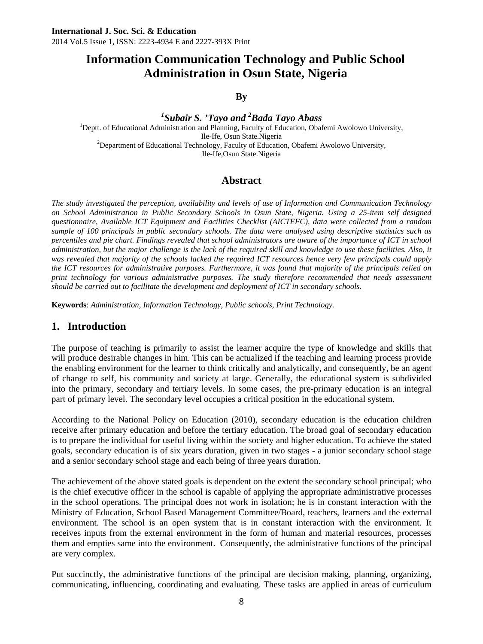# **Information Communication Technology and Public School Administration in Osun State, Nigeria**

**By** 

*1 Subair S. 'Tayo and 2 Bada Tayo Abass* <sup>1</sup> <sup>1</sup>Deptt. of Educational Administration and Planning, Faculty of Education, Obafemi Awolowo University, Ile-Ife, Osun State.Nigeria<br>
<sup>2</sup>Department of Educational Technology, Faculty of Education, Obafemi Awolowo University, Ile-Ife,Osun State.Nigeria

## **Abstract**

*The study investigated the perception, availability and levels of use of Information and Communication Technology on School Administration in Public Secondary Schools in Osun State, Nigeria. Using a 25-item self designed questionnaire, Available ICT Equipment and Facilities Checklist (AICTEFC), data were collected from a random sample of 100 principals in public secondary schools. The data were analysed using descriptive statistics such as percentiles and pie chart. Findings revealed that school administrators are aware of the importance of ICT in school administration, but the major challenge is the lack of the required skill and knowledge to use these facilities. Also, it was revealed that majority of the schools lacked the required ICT resources hence very few principals could apply the ICT resources for administrative purposes. Furthermore, it was found that majority of the principals relied on print technology for various administrative purposes. The study therefore recommended that needs assessment should be carried out to facilitate the development and deployment of ICT in secondary schools.* 

**Keywords**: *Administration, Information Technology, Public schools, Print Technology.* 

### **1. Introduction**

The purpose of teaching is primarily to assist the learner acquire the type of knowledge and skills that will produce desirable changes in him. This can be actualized if the teaching and learning process provide the enabling environment for the learner to think critically and analytically, and consequently, be an agent of change to self, his community and society at large. Generally, the educational system is subdivided into the primary, secondary and tertiary levels. In some cases, the pre-primary education is an integral part of primary level. The secondary level occupies a critical position in the educational system.

According to the National Policy on Education (2010), secondary education is the education children receive after primary education and before the tertiary education. The broad goal of secondary education is to prepare the individual for useful living within the society and higher education. To achieve the stated goals, secondary education is of six years duration, given in two stages - a junior secondary school stage and a senior secondary school stage and each being of three years duration.

The achievement of the above stated goals is dependent on the extent the secondary school principal; who is the chief executive officer in the school is capable of applying the appropriate administrative processes in the school operations. The principal does not work in isolation; he is in constant interaction with the Ministry of Education, School Based Management Committee/Board, teachers, learners and the external environment. The school is an open system that is in constant interaction with the environment. It receives inputs from the external environment in the form of human and material resources, processes them and empties same into the environment. Consequently, the administrative functions of the principal are very complex.

Put succinctly, the administrative functions of the principal are decision making, planning, organizing, communicating, influencing, coordinating and evaluating. These tasks are applied in areas of curriculum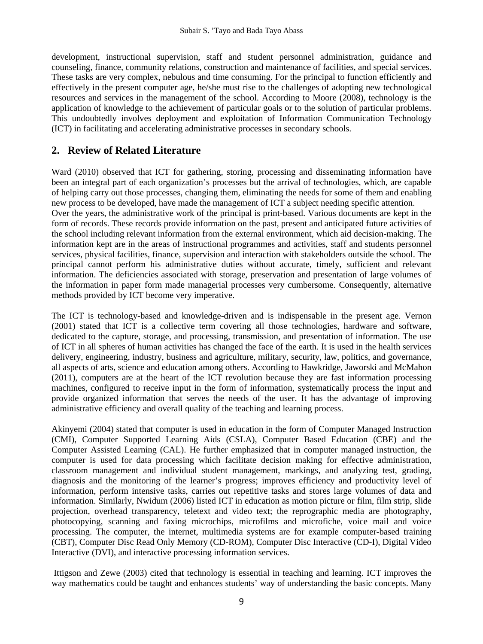development, instructional supervision, staff and student personnel administration, guidance and counseling, finance, community relations, construction and maintenance of facilities, and special services. These tasks are very complex, nebulous and time consuming. For the principal to function efficiently and effectively in the present computer age, he/she must rise to the challenges of adopting new technological resources and services in the management of the school. According to Moore (2008), technology is the application of knowledge to the achievement of particular goals or to the solution of particular problems. This undoubtedly involves deployment and exploitation of Information Communication Technology (ICT) in facilitating and accelerating administrative processes in secondary schools.

# **2. Review of Related Literature**

Ward (2010) observed that ICT for gathering, storing, processing and disseminating information have been an integral part of each organization's processes but the arrival of technologies, which, are capable of helping carry out those processes, changing them, eliminating the needs for some of them and enabling new process to be developed, have made the management of ICT a subject needing specific attention. Over the years, the administrative work of the principal is print-based. Various documents are kept in the form of records. These records provide information on the past, present and anticipated future activities of the school including relevant information from the external environment, which aid decision-making. The information kept are in the areas of instructional programmes and activities, staff and students personnel services, physical facilities, finance, supervision and interaction with stakeholders outside the school. The principal cannot perform his administrative duties without accurate, timely, sufficient and relevant information. The deficiencies associated with storage, preservation and presentation of large volumes of the information in paper form made managerial processes very cumbersome. Consequently, alternative methods provided by ICT become very imperative.

The ICT is technology-based and knowledge-driven and is indispensable in the present age. Vernon (2001) stated that ICT is a collective term covering all those technologies, hardware and software, dedicated to the capture, storage, and processing, transmission, and presentation of information. The use of ICT in all spheres of human activities has changed the face of the earth. It is used in the health services delivery, engineering, industry, business and agriculture, military, security, law, politics, and governance, all aspects of arts, science and education among others. According to Hawkridge, Jaworski and McMahon (2011), computers are at the heart of the ICT revolution because they are fast information processing machines, configured to receive input in the form of information, systematically process the input and provide organized information that serves the needs of the user. It has the advantage of improving administrative efficiency and overall quality of the teaching and learning process.

Akinyemi (2004) stated that computer is used in education in the form of Computer Managed Instruction (CMI), Computer Supported Learning Aids (CSLA), Computer Based Education (CBE) and the Computer Assisted Learning (CAL). He further emphasized that in computer managed instruction, the computer is used for data processing which facilitate decision making for effective administration, classroom management and individual student management, markings, and analyzing test, grading, diagnosis and the monitoring of the learner's progress; improves efficiency and productivity level of information, perform intensive tasks, carries out repetitive tasks and stores large volumes of data and information. Similarly, Nwidum (2006) listed ICT in education as motion picture or film, film strip, slide projection, overhead transparency, teletext and video text; the reprographic media are photography, photocopying, scanning and faxing microchips, microfilms and microfiche, voice mail and voice processing. The computer, the internet, multimedia systems are for example computer-based training (CBT), Computer Disc Read Only Memory (CD-ROM), Computer Disc Interactive (CD-I), Digital Video Interactive (DVI), and interactive processing information services.

 Ittigson and Zewe (2003) cited that technology is essential in teaching and learning. ICT improves the way mathematics could be taught and enhances students' way of understanding the basic concepts. Many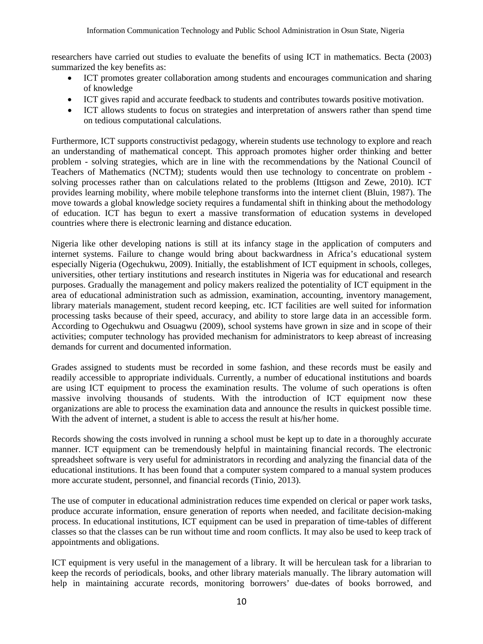researchers have carried out studies to evaluate the benefits of using ICT in mathematics. Becta (2003) summarized the key benefits as:

- ICT promotes greater collaboration among students and encourages communication and sharing of knowledge
- ICT gives rapid and accurate feedback to students and contributes towards positive motivation.
- ICT allows students to focus on strategies and interpretation of answers rather than spend time on tedious computational calculations.

Furthermore, ICT supports constructivist pedagogy, wherein students use technology to explore and reach an understanding of mathematical concept. This approach promotes higher order thinking and better problem - solving strategies, which are in line with the recommendations by the National Council of Teachers of Mathematics (NCTM); students would then use technology to concentrate on problem solving processes rather than on calculations related to the problems (Ittigson and Zewe, 2010). ICT provides learning mobility, where mobile telephone transforms into the internet client (Bluin, 1987). The move towards a global knowledge society requires a fundamental shift in thinking about the methodology of education. ICT has begun to exert a massive transformation of education systems in developed countries where there is electronic learning and distance education.

Nigeria like other developing nations is still at its infancy stage in the application of computers and internet systems. Failure to change would bring about backwardness in Africa's educational system especially Nigeria (Ogechukwu, 2009). Initially, the establishment of ICT equipment in schools, colleges, universities, other tertiary institutions and research institutes in Nigeria was for educational and research purposes. Gradually the management and policy makers realized the potentiality of ICT equipment in the area of educational administration such as admission, examination, accounting, inventory management, library materials management, student record keeping, etc. ICT facilities are well suited for information processing tasks because of their speed, accuracy, and ability to store large data in an accessible form. According to Ogechukwu and Osuagwu (2009), school systems have grown in size and in scope of their activities; computer technology has provided mechanism for administrators to keep abreast of increasing demands for current and documented information.

Grades assigned to students must be recorded in some fashion, and these records must be easily and readily accessible to appropriate individuals. Currently, a number of educational institutions and boards are using ICT equipment to process the examination results. The volume of such operations is often massive involving thousands of students. With the introduction of ICT equipment now these organizations are able to process the examination data and announce the results in quickest possible time. With the advent of internet, a student is able to access the result at his/her home.

Records showing the costs involved in running a school must be kept up to date in a thoroughly accurate manner. ICT equipment can be tremendously helpful in maintaining financial records. The electronic spreadsheet software is very useful for administrators in recording and analyzing the financial data of the educational institutions. It has been found that a computer system compared to a manual system produces more accurate student, personnel, and financial records (Tinio, 2013).

The use of computer in educational administration reduces time expended on clerical or paper work tasks, produce accurate information, ensure generation of reports when needed, and facilitate decision-making process. In educational institutions, ICT equipment can be used in preparation of time-tables of different classes so that the classes can be run without time and room conflicts. It may also be used to keep track of appointments and obligations.

ICT equipment is very useful in the management of a library. It will be herculean task for a librarian to keep the records of periodicals, books, and other library materials manually. The library automation will help in maintaining accurate records, monitoring borrowers' due-dates of books borrowed, and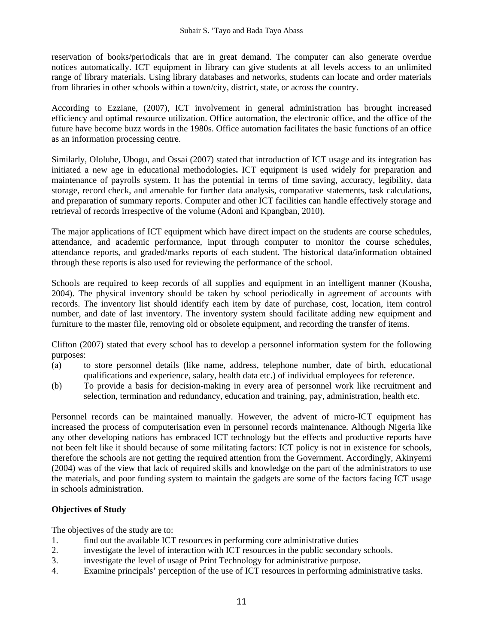reservation of books/periodicals that are in great demand. The computer can also generate overdue notices automatically. ICT equipment in library can give students at all levels access to an unlimited range of library materials. Using library databases and networks, students can locate and order materials from libraries in other schools within a town/city, district, state, or across the country.

According to Ezziane, (2007), ICT involvement in general administration has brought increased efficiency and optimal resource utilization. Office automation, the electronic office, and the office of the future have become buzz words in the 1980s. Office automation facilitates the basic functions of an office as an information processing centre.

Similarly, Ololube, Ubogu, and Ossai (2007) stated that introduction of ICT usage and its integration has initiated a new age in educational methodologies**.** ICT equipment is used widely for preparation and maintenance of payrolls system. It has the potential in terms of time saving, accuracy, legibility, data storage, record check, and amenable for further data analysis, comparative statements, task calculations, and preparation of summary reports. Computer and other ICT facilities can handle effectively storage and retrieval of records irrespective of the volume (Adoni and Kpangban, 2010).

The major applications of ICT equipment which have direct impact on the students are course schedules, attendance, and academic performance, input through computer to monitor the course schedules, attendance reports, and graded/marks reports of each student. The historical data/information obtained through these reports is also used for reviewing the performance of the school.

Schools are required to keep records of all supplies and equipment in an intelligent manner (Kousha, 2004). The physical inventory should be taken by school periodically in agreement of accounts with records. The inventory list should identify each item by date of purchase, cost, location, item control number, and date of last inventory. The inventory system should facilitate adding new equipment and furniture to the master file, removing old or obsolete equipment, and recording the transfer of items.

Clifton (2007) stated that every school has to develop a personnel information system for the following purposes:

- (a) to store personnel details (like name, address, telephone number, date of birth, educational qualifications and experience, salary, health data etc.) of individual employees for reference.
- (b) To provide a basis for decision-making in every area of personnel work like recruitment and selection, termination and redundancy, education and training, pay, administration, health etc.

Personnel records can be maintained manually. However, the advent of micro-ICT equipment has increased the process of computerisation even in personnel records maintenance. Although Nigeria like any other developing nations has embraced ICT technology but the effects and productive reports have not been felt like it should because of some militating factors: ICT policy is not in existence for schools, therefore the schools are not getting the required attention from the Government. Accordingly, Akinyemi (2004) was of the view that lack of required skills and knowledge on the part of the administrators to use the materials, and poor funding system to maintain the gadgets are some of the factors facing ICT usage in schools administration.

### **Objectives of Study**

The objectives of the study are to:

- 1. find out the available ICT resources in performing core administrative duties
- 2. investigate the level of interaction with ICT resources in the public secondary schools.
- 3. investigate the level of usage of Print Technology for administrative purpose.
- 4. Examine principals' perception of the use of ICT resources in performing administrative tasks.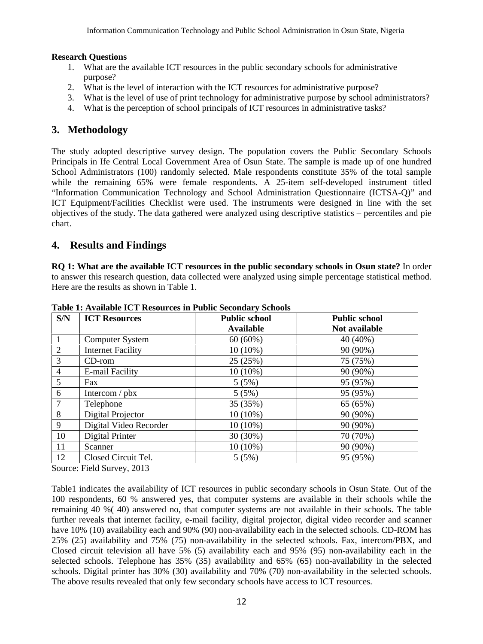#### **Research Questions**

- 1. What are the available ICT resources in the public secondary schools for administrative purpose?
- 2. What is the level of interaction with the ICT resources for administrative purpose?
- 3. What is the level of use of print technology for administrative purpose by school administrators?
- 4. What is the perception of school principals of ICT resources in administrative tasks?

## **3. Methodology**

The study adopted descriptive survey design. The population covers the Public Secondary Schools Principals in Ife Central Local Government Area of Osun State. The sample is made up of one hundred School Administrators (100) randomly selected. Male respondents constitute 35% of the total sample while the remaining 65% were female respondents. A 25-item self-developed instrument titled "Information Communication Technology and School Administration Questionnaire (ICTSA-Q)" and ICT Equipment/Facilities Checklist were used. The instruments were designed in line with the set objectives of the study. The data gathered were analyzed using descriptive statistics – percentiles and pie chart.

### **4. Results and Findings**

**RQ 1: What are the available ICT resources in the public secondary schools in Osun state?** In order to answer this research question, data collected were analyzed using simple percentage statistical method. Here are the results as shown in Table 1.

| S/N | <b>ICT Resources</b>     | <b>Public school</b><br><b>Available</b> | <b>Public school</b><br>Not available |
|-----|--------------------------|------------------------------------------|---------------------------------------|
|     | Computer System          | $60(60\%)$                               | 40 (40%)                              |
| 2   | <b>Internet Facility</b> | $10(10\%)$                               | 90 (90%)                              |
| 3   | $CD$ -rom                | 25 (25%)                                 | 75 (75%)                              |
| 4   | E-mail Facility          | 10 (10%)                                 | 90 (90%)                              |
| 5   | Fax                      | 5(5%)                                    | 95 (95%)                              |
| 6   | Intercom $/$ pbx         | 5(5%)                                    | 95 (95%)                              |
|     | Telephone                | 35 (35%)                                 | 65 (65%)                              |
| 8   | Digital Projector        | 10 (10%)                                 | 90 (90%)                              |
| 9   | Digital Video Recorder   | $10(10\%)$                               | 90 (90%)                              |
| 10  | Digital Printer          | 30 (30%)                                 | 70 (70%)                              |
| 11  | Scanner                  | 10 (10%)                                 | 90 (90%)                              |
| 12  | Closed Circuit Tel.      | 5(5%)                                    | 95 (95%)                              |

**Table 1: Available ICT Resources in Public Secondary Schools** 

Source: Field Survey, 2013

Table1 indicates the availability of ICT resources in public secondary schools in Osun State. Out of the 100 respondents, 60 % answered yes, that computer systems are available in their schools while the remaining 40 %( 40) answered no, that computer systems are not available in their schools. The table further reveals that internet facility, e-mail facility, digital projector, digital video recorder and scanner have 10% (10) availability each and 90% (90) non-availability each in the selected schools. CD-ROM has 25% (25) availability and 75% (75) non-availability in the selected schools. Fax, intercom/PBX, and Closed circuit television all have 5% (5) availability each and 95% (95) non-availability each in the selected schools. Telephone has 35% (35) availability and 65% (65) non-availability in the selected schools. Digital printer has 30% (30) availability and 70% (70) non-availability in the selected schools. The above results revealed that only few secondary schools have access to ICT resources.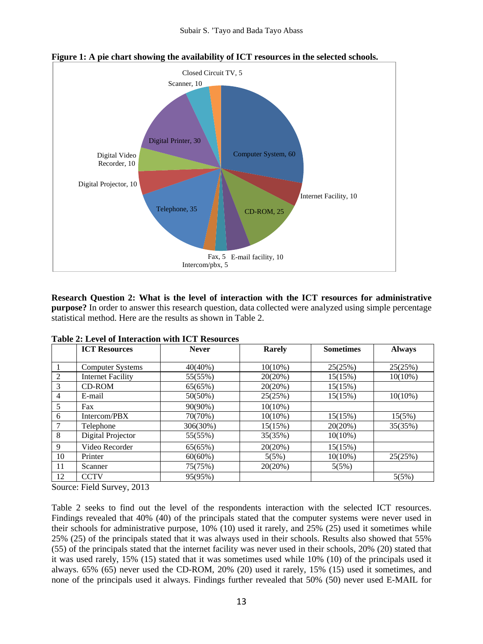

**Figure 1: A pie chart showing the availability of ICT resources in the selected schools.** 

**Research Question 2: What is the level of interaction with the ICT resources for administrative purpose?** In order to answer this research question, data collected were analyzed using simple percentage statistical method. Here are the results as shown in Table 2.

|    | <b>ICT Resources</b>     | <b>Never</b> | Rarely     | <b>Sometimes</b> | <b>Always</b> |
|----|--------------------------|--------------|------------|------------------|---------------|
|    |                          |              |            |                  |               |
|    | <b>Computer Systems</b>  | $40(40\%)$   | $10(10\%)$ | 25(25%)          | 25(25%)       |
| 2  | <b>Internet Facility</b> | 55(55%)      | 20(20%)    | 15(15%)          | $10(10\%)$    |
| 3  | CD-ROM                   | 65(65%)      | 20(20%)    | 15(15%)          |               |
| 4  | E-mail                   | $50(50\%)$   | 25(25%)    | 15(15%)          | $10(10\%)$    |
| 5  | Fax                      | 90(90%)      | $10(10\%)$ |                  |               |
| 6  | Intercom/PBX             | 70(70%)      | $10(10\%)$ | 15(15%)          | 15(5%)        |
| 7  | Telephone                | 306(30%)     | 15(15%)    | 20(20%)          | 35(35%)       |
| 8  | Digital Projector        | 55(55%)      | 35(35%)    | $10(10\%)$       |               |
| 9  | Video Recorder           | 65(65%)      | 20(20%)    | 15(15%)          |               |
| 10 | Printer                  | $60(60\%)$   | 5(5%)      | $10(10\%)$       | 25(25%)       |
| 11 | Scanner                  | 75(75%)      | 20(20%)    | 5(5%)            |               |
| 12 | <b>CCTV</b>              | 95(95%)      |            |                  | 5(5%)         |

**Table 2: Level of Interaction with ICT Resources** 

Source: Field Survey, 2013

Table 2 seeks to find out the level of the respondents interaction with the selected ICT resources. Findings revealed that 40% (40) of the principals stated that the computer systems were never used in their schools for administrative purpose, 10% (10) used it rarely, and 25% (25) used it sometimes while 25% (25) of the principals stated that it was always used in their schools. Results also showed that 55% (55) of the principals stated that the internet facility was never used in their schools, 20% (20) stated that it was used rarely, 15% (15) stated that it was sometimes used while 10% (10) of the principals used it always. 65% (65) never used the CD-ROM, 20% (20) used it rarely, 15% (15) used it sometimes, and none of the principals used it always. Findings further revealed that 50% (50) never used E-MAIL for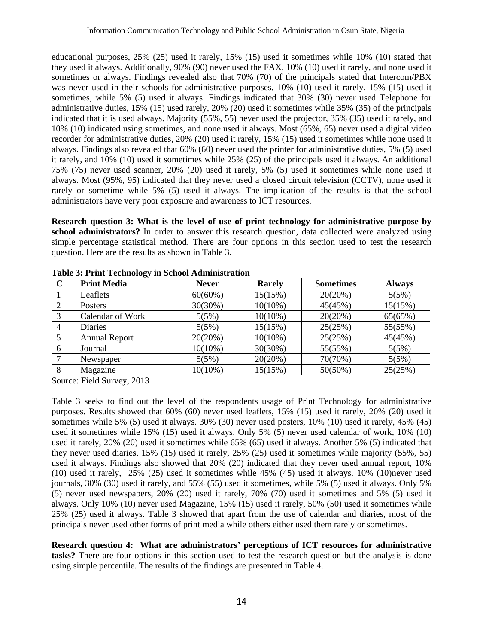educational purposes, 25% (25) used it rarely, 15% (15) used it sometimes while 10% (10) stated that they used it always. Additionally, 90% (90) never used the FAX, 10% (10) used it rarely, and none used it sometimes or always. Findings revealed also that 70% (70) of the principals stated that Intercom/PBX was never used in their schools for administrative purposes, 10% (10) used it rarely, 15% (15) used it sometimes, while 5% (5) used it always. Findings indicated that 30% (30) never used Telephone for administrative duties, 15% (15) used rarely, 20% (20) used it sometimes while 35% (35) of the principals indicated that it is used always. Majority (55%, 55) never used the projector, 35% (35) used it rarely, and 10% (10) indicated using sometimes, and none used it always. Most (65%, 65) never used a digital video recorder for administrative duties, 20% (20) used it rarely, 15% (15) used it sometimes while none used it always. Findings also revealed that 60% (60) never used the printer for administrative duties, 5% (5) used it rarely, and 10% (10) used it sometimes while 25% (25) of the principals used it always. An additional 75% (75) never used scanner, 20% (20) used it rarely, 5% (5) used it sometimes while none used it always. Most (95%, 95) indicated that they never used a closed circuit television (CCTV), none used it rarely or sometime while 5% (5) used it always. The implication of the results is that the school administrators have very poor exposure and awareness to ICT resources.

**Research question 3: What is the level of use of print technology for administrative purpose by school administrators?** In order to answer this research question, data collected were analyzed using simple percentage statistical method. There are four options in this section used to test the research question. Here are the results as shown in Table 3.

| $\mathbf C$ | <b>Print Media</b>   | <b>Never</b> | <b>Rarely</b> | <b>Sometimes</b> | <b>Always</b> |
|-------------|----------------------|--------------|---------------|------------------|---------------|
|             | Leaflets             | $60(60\%)$   | 15(15%)       | 20(20%)          | 5(5%)         |
|             | <b>Posters</b>       | 30(30%)      | $10(10\%)$    | 45(45%)          | 15(15%)       |
| 3           | Calendar of Work     | 5(5%)        | $10(10\%)$    | 20(20%)          | 65(65%)       |
| 4           | <b>Diaries</b>       | 5(5%)        | 15(15%)       | 25(25%)          | 55(55%)       |
|             | <b>Annual Report</b> | 20(20%)      | $10(10\%)$    | 25(25%)          | 45(45%)       |
| 6           | Journal              | $10(10\%)$   | 30(30%)       | 55(55%)          | 5(5%)         |
|             | Newspaper            | 5(5%)        | 20(20%)       | 70(70%)          | 5(5%)         |
| 8           | Magazine             | $10(10\%)$   | 15(15%)       | $50(50\%)$       | 25(25%)       |

**Table 3: Print Technology in School Administration**

Source: Field Survey, 2013

Table 3 seeks to find out the level of the respondents usage of Print Technology for administrative purposes. Results showed that 60% (60) never used leaflets, 15% (15) used it rarely, 20% (20) used it sometimes while 5% (5) used it always. 30% (30) never used posters, 10% (10) used it rarely, 45% (45) used it sometimes while 15% (15) used it always. Only 5% (5) never used calendar of work, 10% (10) used it rarely, 20% (20) used it sometimes while 65% (65) used it always. Another 5% (5) indicated that they never used diaries, 15% (15) used it rarely, 25% (25) used it sometimes while majority (55%, 55) used it always. Findings also showed that 20% (20) indicated that they never used annual report, 10% (10) used it rarely, 25% (25) used it sometimes while 45% (45) used it always. 10% (10)never used journals, 30% (30) used it rarely, and 55% (55) used it sometimes, while 5% (5) used it always. Only 5% (5) never used newspapers, 20% (20) used it rarely, 70% (70) used it sometimes and 5% (5) used it always. Only 10% (10) never used Magazine, 15% (15) used it rarely, 50% (50) used it sometimes while 25% (25) used it always. Table 3 showed that apart from the use of calendar and diaries, most of the principals never used other forms of print media while others either used them rarely or sometimes.

**Research question 4: What are administrators' perceptions of ICT resources for administrative tasks?** There are four options in this section used to test the research question but the analysis is done using simple percentile. The results of the findings are presented in Table 4.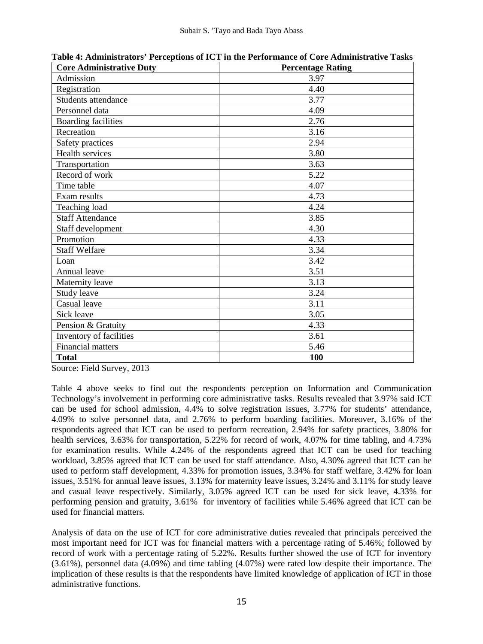| <b>Core Administrative Duty</b> | <b>Percentage Rating</b> |
|---------------------------------|--------------------------|
| Admission                       | 3.97                     |
| Registration                    | 4.40                     |
| Students attendance             | 3.77                     |
| Personnel data                  | 4.09                     |
| <b>Boarding facilities</b>      | 2.76                     |
| Recreation                      | 3.16                     |
| Safety practices                | 2.94                     |
| Health services                 | 3.80                     |
| Transportation                  | 3.63                     |
| Record of work                  | 5.22                     |
| Time table                      | 4.07                     |
| Exam results                    | 4.73                     |
| Teaching load                   | 4.24                     |
| Staff Attendance                | 3.85                     |
| Staff development               | 4.30                     |
| Promotion                       | 4.33                     |
| <b>Staff Welfare</b>            | 3.34                     |
| Loan                            | 3.42                     |
| Annual leave                    | 3.51                     |
| Maternity leave                 | 3.13                     |
| Study leave                     | 3.24                     |
| Casual leave                    | 3.11                     |
| Sick leave                      | 3.05                     |
| Pension & Gratuity              | 4.33                     |
| Inventory of facilities         | 3.61                     |
| Financial matters               | 5.46                     |
| <b>Total</b>                    | 100                      |

**Table 4: Administrators' Perceptions of ICT in the Performance of Core Administrative Tasks** 

Source: Field Survey, 2013

Table 4 above seeks to find out the respondents perception on Information and Communication Technology's involvement in performing core administrative tasks. Results revealed that 3.97% said ICT can be used for school admission, 4.4% to solve registration issues, 3.77% for students' attendance, 4.09% to solve personnel data, and 2.76% to perform boarding facilities. Moreover, 3.16% of the respondents agreed that ICT can be used to perform recreation, 2.94% for safety practices, 3.80% for health services, 3.63% for transportation, 5.22% for record of work, 4.07% for time tabling, and 4.73% for examination results. While 4.24% of the respondents agreed that ICT can be used for teaching workload, 3.85% agreed that ICT can be used for staff attendance. Also, 4.30% agreed that ICT can be used to perform staff development, 4.33% for promotion issues, 3.34% for staff welfare, 3.42% for loan issues, 3.51% for annual leave issues, 3.13% for maternity leave issues, 3.24% and 3.11% for study leave and casual leave respectively. Similarly, 3.05% agreed ICT can be used for sick leave, 4.33% for performing pension and gratuity, 3.61% for inventory of facilities while 5.46% agreed that ICT can be used for financial matters.

Analysis of data on the use of ICT for core administrative duties revealed that principals perceived the most important need for ICT was for financial matters with a percentage rating of 5.46%; followed by record of work with a percentage rating of 5.22%. Results further showed the use of ICT for inventory (3.61%), personnel data (4.09%) and time tabling (4.07%) were rated low despite their importance. The implication of these results is that the respondents have limited knowledge of application of ICT in those administrative functions.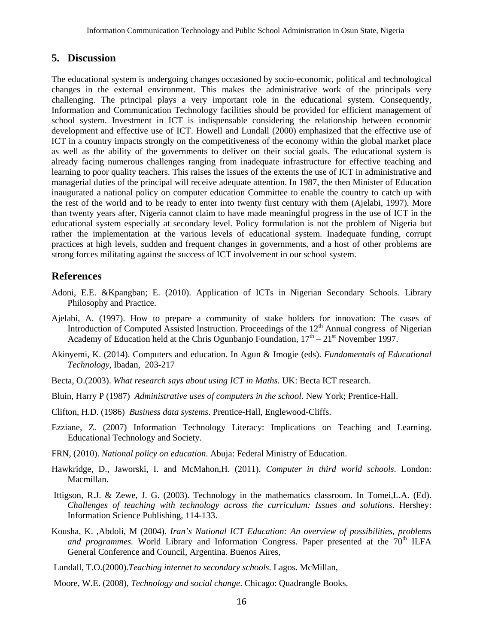#### **5. Discussion**

The educational system is undergoing changes occasioned by socio-economic, political and technological changes in the external environment. This makes the administrative work of the principals very challenging. The principal plays a very important role in the educational system. Consequently, Information and Communication Technology facilities should be provided for efficient management of school system. Investment in ICT is indispensable considering the relationship between economic development and effective use of ICT. Howell and Lundall (2000) emphasized that the effective use of ICT in a country impacts strongly on the competitiveness of the economy within the global market place as well as the ability of the governments to deliver on their social goals. The educational system is already facing numerous challenges ranging from inadequate infrastructure for effective teaching and learning to poor quality teachers. This raises the issues of the extents the use of ICT in administrative and managerial duties of the principal will receive adequate attention. In 1987, the then Minister of Education inaugurated a national policy on computer education Committee to enable the country to catch up with the rest of the world and to be ready to enter into twenty first century with them (Ajelabi, 1997). More than twenty years after, Nigeria cannot claim to have made meaningful progress in the use of ICT in the educational system especially at secondary level. Policy formulation is not the problem of Nigeria but rather the implementation at the various levels of educational system. Inadequate funding, corrupt practices at high levels, sudden and frequent changes in governments, and a host of other problems are strong forces militating against the success of ICT involvement in our school system.

### **References**

- Adoni, E.E. &Kpangban; E. (2010). Application of ICTs in Nigerian Secondary Schools. Library Philosophy and Practice.
- Ajelabi, A. (1997). How to prepare a community of stake holders for innovation: The cases of Introduction of Computed Assisted Instruction. Proceedings of the  $12<sup>th</sup>$  Annual congress of Nigerian Academy of Education held at the Chris Ogunbanjo Foundation,  $17<sup>th</sup> - 21<sup>st</sup>$  November 1997.
- Akinyemi, K. (2014). Computers and education. In Agun & Imogie (eds). *Fundamentals of Educational Technology*, Ibadan, 203-217
- Becta, O.(2003). *What research says about using ICT in Maths*. UK: Becta ICT research.
- Bluin, Harry P (1987) *Administrative uses of computers in the school*. New York; Prentice-Hall.
- Clifton, H.D. (1986) *Business data systems*. Prentice-Hall, Englewood-Cliffs.
- Ezziane, Z. (2007) Information Technology Literacy: Implications on Teaching and Learning. Educational Technology and Society.
- FRN, (2010). *National policy on education*. Abuja: Federal Ministry of Education.
- Hawkridge, D., Jaworski, I. and McMahon,H. (2011). *Computer in third world schools*. London: Macmillan.
- Ittigson, R.J. & Zewe, J. G. (2003). Technology in the mathematics classroom. In Tomei,L.A. (Ed). *Challenges of teaching with technology across the curriculum: Issues and solutions*. Hershey: Information Science Publishing, 114-133.
- Kousha, K. ,Abdoli, M (2004). *Iran's National ICT Education: An overview of possibilities, problems and programmes.* World Library and Information Congress. Paper presented at the  $70<sup>th</sup>$  ILFA General Conference and Council, Argentina. Buenos Aires,
- Lundall, T.O.(2000).*Teaching internet to secondary schools*. Lagos. McMillan,
- Moore, W.E. (2008), *Technology and social change*. Chicago: Quadrangle Books.